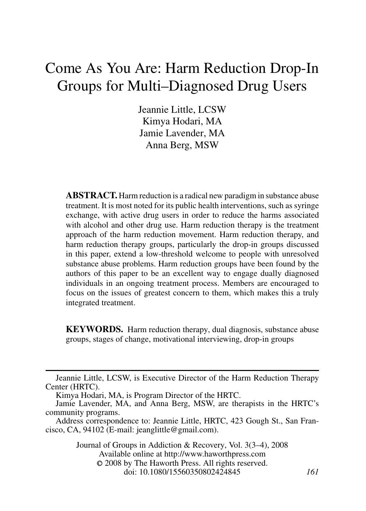# Come As You Are: Harm Reduction Drop-In Groups for Multi–Diagnosed Drug Users

Jeannie Little, LCSW Kimya Hodari, MA Jamie Lavender, MA Anna Berg, MSW

**ABSTRACT.** Harm reduction is a radical new paradigm in substance abuse treatment. It is most noted for its public health interventions, such as syringe exchange, with active drug users in order to reduce the harms associated with alcohol and other drug use. Harm reduction therapy is the treatment approach of the harm reduction movement. Harm reduction therapy, and harm reduction therapy groups, particularly the drop-in groups discussed in this paper, extend a low-threshold welcome to people with unresolved substance abuse problems. Harm reduction groups have been found by the authors of this paper to be an excellent way to engage dually diagnosed individuals in an ongoing treatment process. Members are encouraged to focus on the issues of greatest concern to them, which makes this a truly integrated treatment.

**KEYWORDS.** Harm reduction therapy, dual diagnosis, substance abuse groups, stages of change, motivational interviewing, drop-in groups

Jeannie Little, LCSW, is Executive Director of the Harm Reduction Therapy Center (HRTC).

Address correspondence to: Jeannie Little, HRTC, 423 Gough St., San Francisco, CA, 94102 (E-mail: jeanglittle@gmail.com).

> Journal of Groups in Addiction & Recovery, Vol. 3(3–4), 2008 Available online at http://www.haworthpress.com <sup>C</sup> 2008 by The Haworth Press. All rights reserved. doi: 10.1080/15560350802424845 *161*

Kimya Hodari, MA, is Program Director of the HRTC.

Jamie Lavender, MA, and Anna Berg, MSW, are therapists in the HRTC's community programs.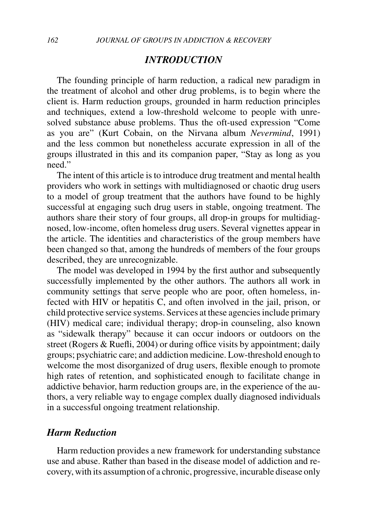### *INTRODUCTION*

The founding principle of harm reduction, a radical new paradigm in the treatment of alcohol and other drug problems, is to begin where the client is. Harm reduction groups, grounded in harm reduction principles and techniques, extend a low-threshold welcome to people with unresolved substance abuse problems. Thus the oft-used expression "Come as you are" (Kurt Cobain, on the Nirvana album *Nevermind*, 1991) and the less common but nonetheless accurate expression in all of the groups illustrated in this and its companion paper, "Stay as long as you need."

The intent of this article is to introduce drug treatment and mental health providers who work in settings with multidiagnosed or chaotic drug users to a model of group treatment that the authors have found to be highly successful at engaging such drug users in stable, ongoing treatment. The authors share their story of four groups, all drop-in groups for multidiagnosed, low-income, often homeless drug users. Several vignettes appear in the article. The identities and characteristics of the group members have been changed so that, among the hundreds of members of the four groups described, they are unrecognizable.

The model was developed in 1994 by the first author and subsequently successfully implemented by the other authors. The authors all work in community settings that serve people who are poor, often homeless, infected with HIV or hepatitis C, and often involved in the jail, prison, or child protective service systems. Services at these agencies include primary (HIV) medical care; individual therapy; drop-in counseling, also known as "sidewalk therapy" because it can occur indoors or outdoors on the street (Rogers & Ruefli, 2004) or during office visits by appointment; daily groups; psychiatric care; and addiction medicine. Low-threshold enough to welcome the most disorganized of drug users, flexible enough to promote high rates of retention, and sophisticated enough to facilitate change in addictive behavior, harm reduction groups are, in the experience of the authors, a very reliable way to engage complex dually diagnosed individuals in a successful ongoing treatment relationship.

### *Harm Reduction*

Harm reduction provides a new framework for understanding substance use and abuse. Rather than based in the disease model of addiction and recovery, with its assumption of a chronic, progressive, incurable disease only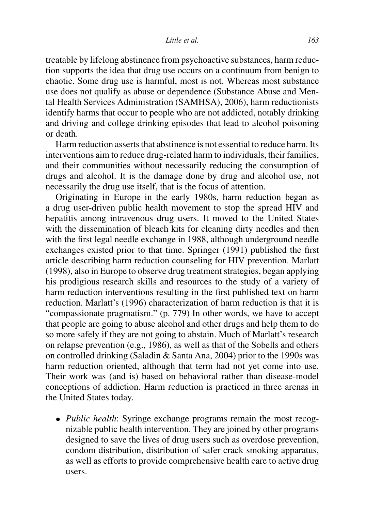treatable by lifelong abstinence from psychoactive substances, harm reduction supports the idea that drug use occurs on a continuum from benign to chaotic. Some drug use is harmful, most is not. Whereas most substance use does not qualify as abuse or dependence (Substance Abuse and Mental Health Services Administration (SAMHSA), 2006), harm reductionists identify harms that occur to people who are not addicted, notably drinking and driving and college drinking episodes that lead to alcohol poisoning or death.

Harm reduction asserts that abstinence is not essential to reduce harm. Its interventions aim to reduce drug-related harm to individuals, their families, and their communities without necessarily reducing the consumption of drugs and alcohol. It is the damage done by drug and alcohol use, not necessarily the drug use itself, that is the focus of attention.

Originating in Europe in the early 1980s, harm reduction began as a drug user-driven public health movement to stop the spread HIV and hepatitis among intravenous drug users. It moved to the United States with the dissemination of bleach kits for cleaning dirty needles and then with the first legal needle exchange in 1988, although underground needle exchanges existed prior to that time. Springer (1991) published the first article describing harm reduction counseling for HIV prevention. Marlatt (1998), also in Europe to observe drug treatment strategies, began applying his prodigious research skills and resources to the study of a variety of harm reduction interventions resulting in the first published text on harm reduction. Marlatt's (1996) characterization of harm reduction is that it is "compassionate pragmatism." (p. 779) In other words, we have to accept that people are going to abuse alcohol and other drugs and help them to do so more safely if they are not going to abstain. Much of Marlatt's research on relapse prevention (e.g., 1986), as well as that of the Sobells and others on controlled drinking (Saladin & Santa Ana, 2004) prior to the 1990s was harm reduction oriented, although that term had not yet come into use. Their work was (and is) based on behavioral rather than disease-model conceptions of addiction. Harm reduction is practiced in three arenas in the United States today.

• *Public health*: Syringe exchange programs remain the most recognizable public health intervention. They are joined by other programs designed to save the lives of drug users such as overdose prevention, condom distribution, distribution of safer crack smoking apparatus, as well as efforts to provide comprehensive health care to active drug users.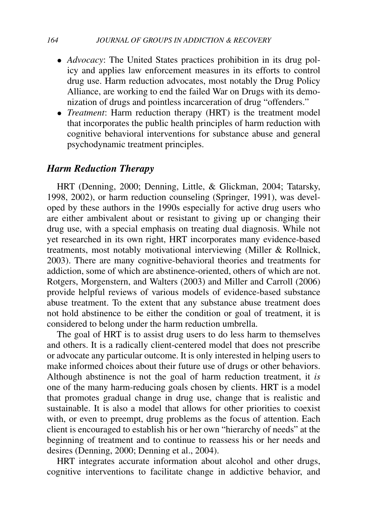- *Advocacy*: The United States practices prohibition in its drug policy and applies law enforcement measures in its efforts to control drug use. Harm reduction advocates, most notably the Drug Policy Alliance, are working to end the failed War on Drugs with its demonization of drugs and pointless incarceration of drug "offenders."
- *Treatment*: Harm reduction therapy (HRT) is the treatment model that incorporates the public health principles of harm reduction with cognitive behavioral interventions for substance abuse and general psychodynamic treatment principles.

# *Harm Reduction Therapy*

HRT (Denning, 2000; Denning, Little, & Glickman, 2004; Tatarsky, 1998, 2002), or harm reduction counseling (Springer, 1991), was developed by these authors in the 1990s especially for active drug users who are either ambivalent about or resistant to giving up or changing their drug use, with a special emphasis on treating dual diagnosis. While not yet researched in its own right, HRT incorporates many evidence-based treatments, most notably motivational interviewing (Miller & Rollnick, 2003). There are many cognitive-behavioral theories and treatments for addiction, some of which are abstinence-oriented, others of which are not. Rotgers, Morgenstern, and Walters (2003) and Miller and Carroll (2006) provide helpful reviews of various models of evidence-based substance abuse treatment. To the extent that any substance abuse treatment does not hold abstinence to be either the condition or goal of treatment, it is considered to belong under the harm reduction umbrella.

The goal of HRT is to assist drug users to do less harm to themselves and others. It is a radically client-centered model that does not prescribe or advocate any particular outcome. It is only interested in helping users to make informed choices about their future use of drugs or other behaviors. Although abstinence is not the goal of harm reduction treatment, it *is* one of the many harm-reducing goals chosen by clients. HRT is a model that promotes gradual change in drug use, change that is realistic and sustainable. It is also a model that allows for other priorities to coexist with, or even to preempt, drug problems as the focus of attention. Each client is encouraged to establish his or her own "hierarchy of needs" at the beginning of treatment and to continue to reassess his or her needs and desires (Denning, 2000; Denning et al., 2004).

HRT integrates accurate information about alcohol and other drugs, cognitive interventions to facilitate change in addictive behavior, and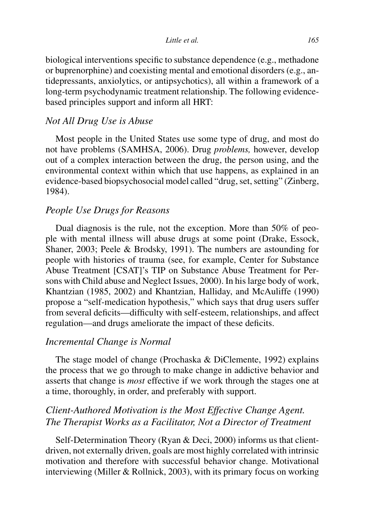biological interventions specific to substance dependence (e.g., methadone or buprenorphine) and coexisting mental and emotional disorders (e.g., antidepressants, anxiolytics, or antipsychotics), all within a framework of a long-term psychodynamic treatment relationship. The following evidencebased principles support and inform all HRT:

# *Not All Drug Use is Abuse*

Most people in the United States use some type of drug, and most do not have problems (SAMHSA, 2006). Drug *problems,* however, develop out of a complex interaction between the drug, the person using, and the environmental context within which that use happens, as explained in an evidence-based biopsychosocial model called "drug, set, setting" (Zinberg, 1984).

# *People Use Drugs for Reasons*

Dual diagnosis is the rule, not the exception. More than 50% of people with mental illness will abuse drugs at some point (Drake, Essock, Shaner, 2003; Peele & Brodsky, 1991). The numbers are astounding for people with histories of trauma (see, for example, Center for Substance Abuse Treatment [CSAT]'s TIP on Substance Abuse Treatment for Persons with Child abuse and Neglect Issues, 2000). In his large body of work, Khantzian (1985, 2002) and Khantzian, Halliday, and McAuliffe (1990) propose a "self-medication hypothesis," which says that drug users suffer from several deficits—difficulty with self-esteem, relationships, and affect regulation—and drugs ameliorate the impact of these deficits.

### *Incremental Change is Normal*

The stage model of change (Prochaska & DiClemente, 1992) explains the process that we go through to make change in addictive behavior and asserts that change is *most* effective if we work through the stages one at a time, thoroughly, in order, and preferably with support.

# *Client-Authored Motivation is the Most Effective Change Agent. The Therapist Works as a Facilitator, Not a Director of Treatment*

Self-Determination Theory (Ryan & Deci, 2000) informs us that clientdriven, not externally driven, goals are most highly correlated with intrinsic motivation and therefore with successful behavior change. Motivational interviewing (Miller & Rollnick, 2003), with its primary focus on working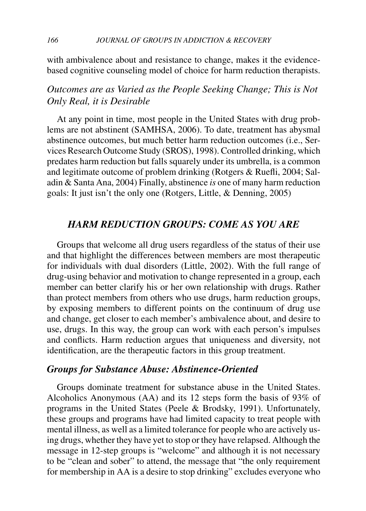with ambivalence about and resistance to change, makes it the evidencebased cognitive counseling model of choice for harm reduction therapists.

# *Outcomes are as Varied as the People Seeking Change; This is Not Only Real, it is Desirable*

At any point in time, most people in the United States with drug problems are not abstinent (SAMHSA, 2006). To date, treatment has abysmal abstinence outcomes, but much better harm reduction outcomes (i.e., Services Research Outcome Study (SROS), 1998). Controlled drinking, which predates harm reduction but falls squarely under its umbrella, is a common and legitimate outcome of problem drinking (Rotgers & Ruefli, 2004; Saladin & Santa Ana, 2004) Finally, abstinence *is* one of many harm reduction goals: It just isn't the only one (Rotgers, Little, & Denning, 2005)

### *HARM REDUCTION GROUPS: COME AS YOU ARE*

Groups that welcome all drug users regardless of the status of their use and that highlight the differences between members are most therapeutic for individuals with dual disorders (Little, 2002). With the full range of drug-using behavior and motivation to change represented in a group, each member can better clarify his or her own relationship with drugs. Rather than protect members from others who use drugs, harm reduction groups, by exposing members to different points on the continuum of drug use and change, get closer to each member's ambivalence about, and desire to use, drugs. In this way, the group can work with each person's impulses and conflicts. Harm reduction argues that uniqueness and diversity, not identification, are the therapeutic factors in this group treatment.

### *Groups for Substance Abuse: Abstinence-Oriented*

Groups dominate treatment for substance abuse in the United States. Alcoholics Anonymous (AA) and its 12 steps form the basis of 93% of programs in the United States (Peele & Brodsky, 1991). Unfortunately, these groups and programs have had limited capacity to treat people with mental illness, as well as a limited tolerance for people who are actively using drugs, whether they have yet to stop or they have relapsed. Although the message in 12-step groups is "welcome" and although it is not necessary to be "clean and sober" to attend, the message that "the only requirement for membership in AA is a desire to stop drinking" excludes everyone who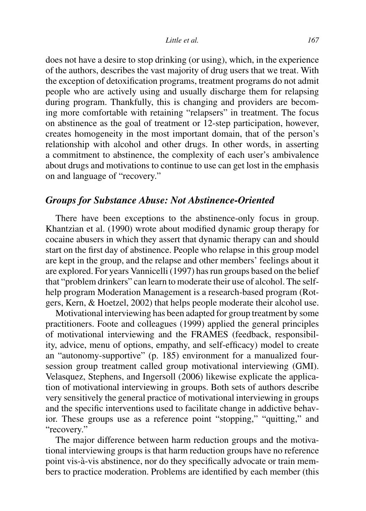does not have a desire to stop drinking (or using), which, in the experience of the authors, describes the vast majority of drug users that we treat. With the exception of detoxification programs, treatment programs do not admit people who are actively using and usually discharge them for relapsing during program. Thankfully, this is changing and providers are becoming more comfortable with retaining "relapsers" in treatment. The focus on abstinence as the goal of treatment or 12-step participation, however, creates homogeneity in the most important domain, that of the person's relationship with alcohol and other drugs. In other words, in asserting a commitment to abstinence, the complexity of each user's ambivalence about drugs and motivations to continue to use can get lost in the emphasis on and language of "recovery."

# *Groups for Substance Abuse: Not Abstinence-Oriented*

There have been exceptions to the abstinence-only focus in group. Khantzian et al. (1990) wrote about modified dynamic group therapy for cocaine abusers in which they assert that dynamic therapy can and should start on the first day of abstinence. People who relapse in this group model are kept in the group, and the relapse and other members' feelings about it are explored. For years Vannicelli (1997) has run groups based on the belief that "problem drinkers" can learn to moderate their use of alcohol. The selfhelp program Moderation Management is a research-based program (Rotgers, Kern, & Hoetzel, 2002) that helps people moderate their alcohol use.

Motivational interviewing has been adapted for group treatment by some practitioners. Foote and colleagues (1999) applied the general principles of motivational interviewing and the FRAMES (feedback, responsibility, advice, menu of options, empathy, and self-efficacy) model to create an "autonomy-supportive" (p. 185) environment for a manualized foursession group treatment called group motivational interviewing (GMI). Velasquez, Stephens, and Ingersoll (2006) likewise explicate the application of motivational interviewing in groups. Both sets of authors describe very sensitively the general practice of motivational interviewing in groups and the specific interventions used to facilitate change in addictive behavior. These groups use as a reference point "stopping," "quitting," and "recovery."

The major difference between harm reduction groups and the motivational interviewing groups is that harm reduction groups have no reference point vis-à-vis abstinence, nor do they specifically advocate or train members to practice moderation. Problems are identified by each member (this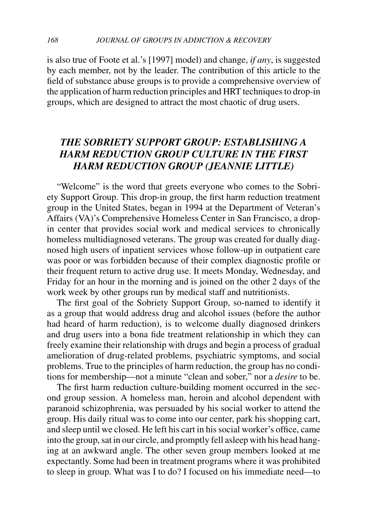is also true of Foote et al.'s [1997] model) and change, *if any*, is suggested by each member, not by the leader. The contribution of this article to the field of substance abuse groups is to provide a comprehensive overview of the application of harm reduction principles and HRT techniques to drop-in groups, which are designed to attract the most chaotic of drug users.

# *THE SOBRIETY SUPPORT GROUP: ESTABLISHING A HARM REDUCTION GROUP CULTURE IN THE FIRST HARM REDUCTION GROUP (JEANNIE LITTLE)*

"Welcome" is the word that greets everyone who comes to the Sobriety Support Group. This drop-in group, the first harm reduction treatment group in the United States, began in 1994 at the Department of Veteran's Affairs (VA)'s Comprehensive Homeless Center in San Francisco, a dropin center that provides social work and medical services to chronically homeless multidiagnosed veterans. The group was created for dually diagnosed high users of inpatient services whose follow-up in outpatient care was poor or was forbidden because of their complex diagnostic profile or their frequent return to active drug use. It meets Monday, Wednesday, and Friday for an hour in the morning and is joined on the other 2 days of the work week by other groups run by medical staff and nutritionists.

The first goal of the Sobriety Support Group, so-named to identify it as a group that would address drug and alcohol issues (before the author had heard of harm reduction), is to welcome dually diagnosed drinkers and drug users into a bona fide treatment relationship in which they can freely examine their relationship with drugs and begin a process of gradual amelioration of drug-related problems, psychiatric symptoms, and social problems. True to the principles of harm reduction, the group has no conditions for membership—not a minute "clean and sober," nor a *desire* to be.

The first harm reduction culture-building moment occurred in the second group session. A homeless man, heroin and alcohol dependent with paranoid schizophrenia, was persuaded by his social worker to attend the group. His daily ritual was to come into our center, park his shopping cart, and sleep until we closed. He left his cart in his social worker's office, came into the group, sat in our circle, and promptly fell asleep with his head hanging at an awkward angle. The other seven group members looked at me expectantly. Some had been in treatment programs where it was prohibited to sleep in group. What was I to do? I focused on his immediate need—to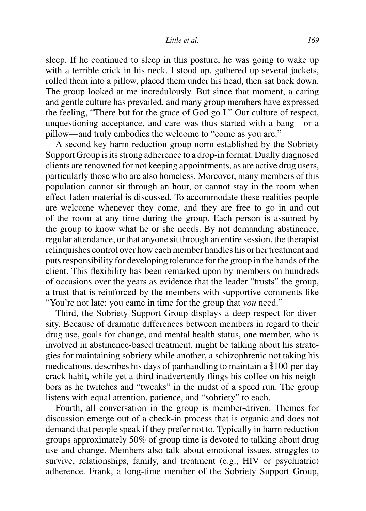sleep. If he continued to sleep in this posture, he was going to wake up with a terrible crick in his neck. I stood up, gathered up several jackets, rolled them into a pillow, placed them under his head, then sat back down. The group looked at me incredulously. But since that moment, a caring and gentle culture has prevailed, and many group members have expressed the feeling, "There but for the grace of God go I." Our culture of respect, unquestioning acceptance, and care was thus started with a bang—or a pillow—and truly embodies the welcome to "come as you are."

A second key harm reduction group norm established by the Sobriety Support Group is its strong adherence to a drop-in format. Dually diagnosed clients are renowned for not keeping appointments, as are active drug users, particularly those who are also homeless. Moreover, many members of this population cannot sit through an hour, or cannot stay in the room when effect-laden material is discussed. To accommodate these realities people are welcome whenever they come, and they are free to go in and out of the room at any time during the group. Each person is assumed by the group to know what he or she needs. By not demanding abstinence, regular attendance, or that anyone sit through an entire session, the therapist relinquishes control over how each member handles his or her treatment and puts responsibility for developing tolerance for the group in the hands of the client. This flexibility has been remarked upon by members on hundreds of occasions over the years as evidence that the leader "trusts" the group, a trust that is reinforced by the members with supportive comments like "You're not late: you came in time for the group that *you* need."

Third, the Sobriety Support Group displays a deep respect for diversity. Because of dramatic differences between members in regard to their drug use, goals for change, and mental health status, one member, who is involved in abstinence-based treatment, might be talking about his strategies for maintaining sobriety while another, a schizophrenic not taking his medications, describes his days of panhandling to maintain a \$100-per-day crack habit, while yet a third inadvertently flings his coffee on his neighbors as he twitches and "tweaks" in the midst of a speed run. The group listens with equal attention, patience, and "sobriety" to each.

Fourth, all conversation in the group is member-driven. Themes for discussion emerge out of a check-in process that is organic and does not demand that people speak if they prefer not to. Typically in harm reduction groups approximately 50% of group time is devoted to talking about drug use and change. Members also talk about emotional issues, struggles to survive, relationships, family, and treatment (e.g., HIV or psychiatric) adherence. Frank, a long-time member of the Sobriety Support Group,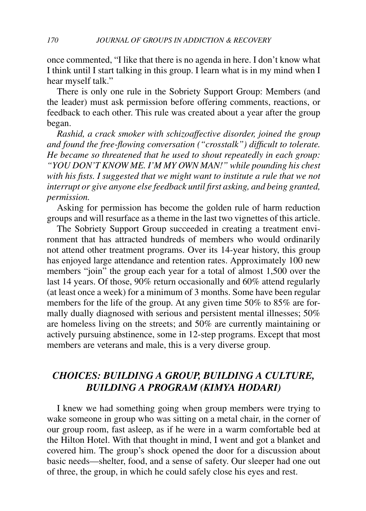once commented, "I like that there is no agenda in here. I don't know what I think until I start talking in this group. I learn what is in my mind when I hear myself talk."

There is only one rule in the Sobriety Support Group: Members (and the leader) must ask permission before offering comments, reactions, or feedback to each other. This rule was created about a year after the group began.

*Rashid, a crack smoker with schizoaffective disorder, joined the group and found the free-flowing conversation ("crosstalk") difficult to tolerate. He became so threatened that he used to shout repeatedly in each group: "YOU DON'T KNOW ME. I'M MY OWN MAN!" while pounding his chest with his fists. I suggested that we might want to institute a rule that we not interrupt or give anyone else feedback until first asking, and being granted, permission.*

Asking for permission has become the golden rule of harm reduction groups and will resurface as a theme in the last two vignettes of this article.

The Sobriety Support Group succeeded in creating a treatment environment that has attracted hundreds of members who would ordinarily not attend other treatment programs. Over its 14-year history, this group has enjoyed large attendance and retention rates. Approximately 100 new members "join" the group each year for a total of almost 1,500 over the last 14 years. Of those, 90% return occasionally and 60% attend regularly (at least once a week) for a minimum of 3 months. Some have been regular members for the life of the group. At any given time 50% to 85% are formally dually diagnosed with serious and persistent mental illnesses; 50% are homeless living on the streets; and 50% are currently maintaining or actively pursuing abstinence, some in 12-step programs. Except that most members are veterans and male, this is a very diverse group.

# *CHOICES: BUILDING A GROUP, BUILDING A CULTURE, BUILDING A PROGRAM (KIMYA HODARI)*

I knew we had something going when group members were trying to wake someone in group who was sitting on a metal chair, in the corner of our group room, fast asleep, as if he were in a warm comfortable bed at the Hilton Hotel. With that thought in mind, I went and got a blanket and covered him. The group's shock opened the door for a discussion about basic needs—shelter, food, and a sense of safety. Our sleeper had one out of three, the group, in which he could safely close his eyes and rest.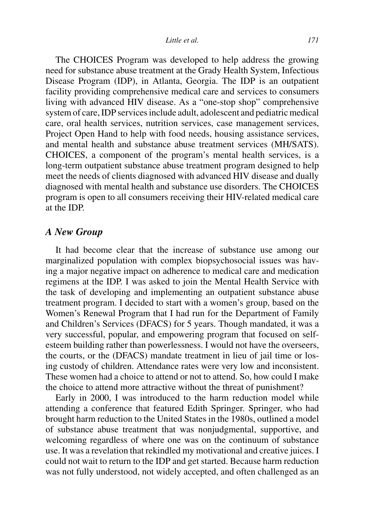The CHOICES Program was developed to help address the growing need for substance abuse treatment at the Grady Health System, Infectious Disease Program (IDP), in Atlanta, Georgia. The IDP is an outpatient facility providing comprehensive medical care and services to consumers living with advanced HIV disease. As a "one-stop shop" comprehensive system of care, IDP services include adult, adolescent and pediatric medical care, oral health services, nutrition services, case management services, Project Open Hand to help with food needs, housing assistance services, and mental health and substance abuse treatment services (MH/SATS). CHOICES, a component of the program's mental health services, is a long-term outpatient substance abuse treatment program designed to help meet the needs of clients diagnosed with advanced HIV disease and dually diagnosed with mental health and substance use disorders. The CHOICES program is open to all consumers receiving their HIV-related medical care at the IDP.

### *A New Group*

It had become clear that the increase of substance use among our marginalized population with complex biopsychosocial issues was having a major negative impact on adherence to medical care and medication regimens at the IDP. I was asked to join the Mental Health Service with the task of developing and implementing an outpatient substance abuse treatment program. I decided to start with a women's group, based on the Women's Renewal Program that I had run for the Department of Family and Children's Services (DFACS) for 5 years. Though mandated, it was a very successful, popular, and empowering program that focused on selfesteem building rather than powerlessness. I would not have the overseers, the courts, or the (DFACS) mandate treatment in lieu of jail time or losing custody of children. Attendance rates were very low and inconsistent. These women had a choice to attend or not to attend. So, how could I make the choice to attend more attractive without the threat of punishment?

Early in 2000, I was introduced to the harm reduction model while attending a conference that featured Edith Springer. Springer, who had brought harm reduction to the United States in the 1980s, outlined a model of substance abuse treatment that was nonjudgmental, supportive, and welcoming regardless of where one was on the continuum of substance use. It was a revelation that rekindled my motivational and creative juices. I could not wait to return to the IDP and get started. Because harm reduction was not fully understood, not widely accepted, and often challenged as an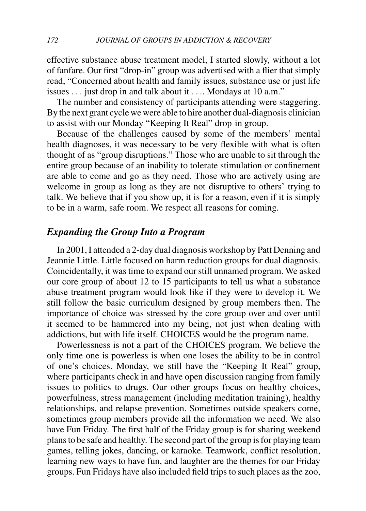effective substance abuse treatment model, I started slowly, without a lot of fanfare. Our first "drop-in" group was advertised with a flier that simply read, "Concerned about health and family issues, substance use or just life issues *...* just drop in and talk about it *...*. Mondays at 10 a.m."

The number and consistency of participants attending were staggering. By the next grant cycle we were able to hire another dual-diagnosis clinician to assist with our Monday "Keeping It Real" drop-in group.

Because of the challenges caused by some of the members' mental health diagnoses, it was necessary to be very flexible with what is often thought of as "group disruptions." Those who are unable to sit through the entire group because of an inability to tolerate stimulation or confinement are able to come and go as they need. Those who are actively using are welcome in group as long as they are not disruptive to others' trying to talk. We believe that if you show up, it is for a reason, even if it is simply to be in a warm, safe room. We respect all reasons for coming.

### *Expanding the Group Into a Program*

In 2001, I attended a 2-day dual diagnosis workshop by Patt Denning and Jeannie Little. Little focused on harm reduction groups for dual diagnosis. Coincidentally, it was time to expand our still unnamed program. We asked our core group of about 12 to 15 participants to tell us what a substance abuse treatment program would look like if they were to develop it. We still follow the basic curriculum designed by group members then. The importance of choice was stressed by the core group over and over until it seemed to be hammered into my being, not just when dealing with addictions, but with life itself. CHOICES would be the program name.

Powerlessness is not a part of the CHOICES program. We believe the only time one is powerless is when one loses the ability to be in control of one's choices. Monday, we still have the "Keeping It Real" group, where participants check in and have open discussion ranging from family issues to politics to drugs. Our other groups focus on healthy choices, powerfulness, stress management (including meditation training), healthy relationships, and relapse prevention. Sometimes outside speakers come, sometimes group members provide all the information we need. We also have Fun Friday. The first half of the Friday group is for sharing weekend plans to be safe and healthy. The second part of the group is for playing team games, telling jokes, dancing, or karaoke. Teamwork, conflict resolution, learning new ways to have fun, and laughter are the themes for our Friday groups. Fun Fridays have also included field trips to such places as the zoo,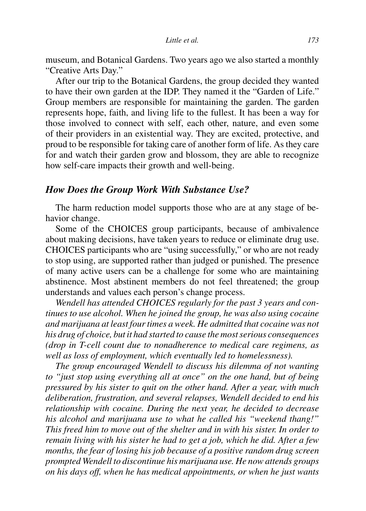museum, and Botanical Gardens. Two years ago we also started a monthly "Creative Arts Day."

After our trip to the Botanical Gardens, the group decided they wanted to have their own garden at the IDP. They named it the "Garden of Life." Group members are responsible for maintaining the garden. The garden represents hope, faith, and living life to the fullest. It has been a way for those involved to connect with self, each other, nature, and even some of their providers in an existential way. They are excited, protective, and proud to be responsible for taking care of another form of life. As they care for and watch their garden grow and blossom, they are able to recognize how self-care impacts their growth and well-being.

# *How Does the Group Work With Substance Use?*

The harm reduction model supports those who are at any stage of behavior change.

Some of the CHOICES group participants, because of ambivalence about making decisions, have taken years to reduce or eliminate drug use. CHOICES participants who are "using successfully," or who are not ready to stop using, are supported rather than judged or punished. The presence of many active users can be a challenge for some who are maintaining abstinence. Most abstinent members do not feel threatened; the group understands and values each person's change process.

*Wendell has attended CHOICES regularly for the past 3 years and continues to use alcohol. When he joined the group, he was also using cocaine and marijuana at least four times a week. He admitted that cocaine was not his drug of choice, but it had started to cause the most serious consequences (drop in T-cell count due to nonadherence to medical care regimens, as well as loss of employment, which eventually led to homelessness).*

*The group encouraged Wendell to discuss his dilemma of not wanting to "just stop using everything all at once" on the one hand, but of being pressured by his sister to quit on the other hand. After a year, with much deliberation, frustration, and several relapses, Wendell decided to end his relationship with cocaine. During the next year, he decided to decrease his alcohol and marijuana use to what he called his "weekend thang!" This freed him to move out of the shelter and in with his sister. In order to remain living with his sister he had to get a job, which he did. After a few months, the fear of losing his job because of a positive random drug screen prompted Wendell to discontinue his marijuana use. He now attends groups on his days off, when he has medical appointments, or when he just wants*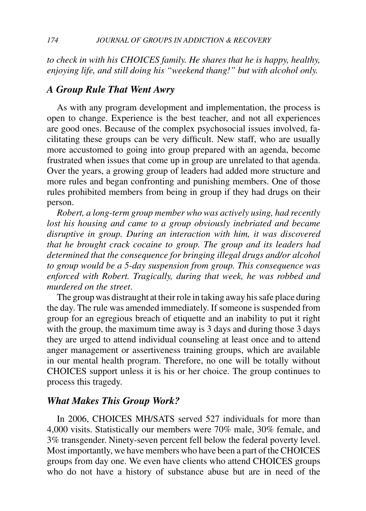*to check in with his CHOICES family. He shares that he is happy, healthy, enjoying life, and still doing his "weekend thang!" but with alcohol only.*

# *A Group Rule That Went Awry*

As with any program development and implementation, the process is open to change. Experience is the best teacher, and not all experiences are good ones. Because of the complex psychosocial issues involved, facilitating these groups can be very difficult. New staff, who are usually more accustomed to going into group prepared with an agenda, become frustrated when issues that come up in group are unrelated to that agenda. Over the years, a growing group of leaders had added more structure and more rules and began confronting and punishing members. One of those rules prohibited members from being in group if they had drugs on their person.

*Robert, a long-term group member who was actively using, had recently lost his housing and came to a group obviously inebriated and became disruptive in group. During an interaction with him, it was discovered that he brought crack cocaine to group. The group and its leaders had determined that the consequence for bringing illegal drugs and/or alcohol to group would be a 5-day suspension from group. This consequence was enforced with Robert. Tragically, during that week, he was robbed and murdered on the street*.

The group was distraught at their role in taking away his safe place during the day. The rule was amended immediately. If someone is suspended from group for an egregious breach of etiquette and an inability to put it right with the group, the maximum time away is 3 days and during those 3 days they are urged to attend individual counseling at least once and to attend anger management or assertiveness training groups, which are available in our mental health program. Therefore, no one will be totally without CHOICES support unless it is his or her choice. The group continues to process this tragedy.

### *What Makes This Group Work?*

In 2006, CHOICES MH/SATS served 527 individuals for more than 4,000 visits. Statistically our members were 70% male, 30% female, and 3% transgender. Ninety-seven percent fell below the federal poverty level. Most importantly, we have members who have been a part of the CHOICES groups from day one. We even have clients who attend CHOICES groups who do not have a history of substance abuse but are in need of the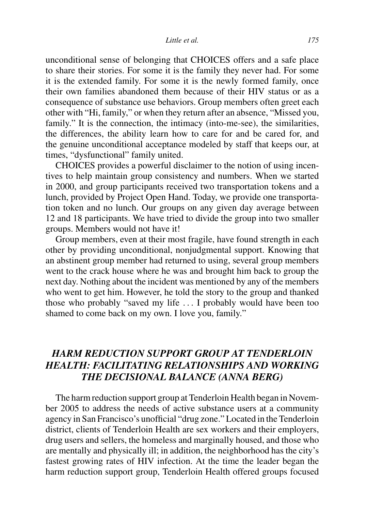unconditional sense of belonging that CHOICES offers and a safe place to share their stories. For some it is the family they never had. For some it is the extended family. For some it is the newly formed family, once their own families abandoned them because of their HIV status or as a consequence of substance use behaviors. Group members often greet each other with "Hi, family," or when they return after an absence, "Missed you, family." It is the connection, the intimacy (into-me-see), the similarities, the differences, the ability learn how to care for and be cared for, and the genuine unconditional acceptance modeled by staff that keeps our, at times, "dysfunctional" family united.

CHOICES provides a powerful disclaimer to the notion of using incentives to help maintain group consistency and numbers. When we started in 2000, and group participants received two transportation tokens and a lunch, provided by Project Open Hand. Today, we provide one transportation token and no lunch. Our groups on any given day average between 12 and 18 participants. We have tried to divide the group into two smaller groups. Members would not have it!

Group members, even at their most fragile, have found strength in each other by providing unconditional, nonjudgmental support. Knowing that an abstinent group member had returned to using, several group members went to the crack house where he was and brought him back to group the next day. Nothing about the incident was mentioned by any of the members who went to get him. However, he told the story to the group and thanked those who probably "saved my life *...* I probably would have been too shamed to come back on my own. I love you, family."

# *HARM REDUCTION SUPPORT GROUP AT TENDERLOIN HEALTH: FACILITATING RELATIONSHIPS AND WORKING THE DECISIONAL BALANCE (ANNA BERG)*

The harm reduction support group at Tenderloin Health began in November 2005 to address the needs of active substance users at a community agency in San Francisco's unofficial "drug zone." Located in the Tenderloin district, clients of Tenderloin Health are sex workers and their employers, drug users and sellers, the homeless and marginally housed, and those who are mentally and physically ill; in addition, the neighborhood has the city's fastest growing rates of HIV infection. At the time the leader began the harm reduction support group, Tenderloin Health offered groups focused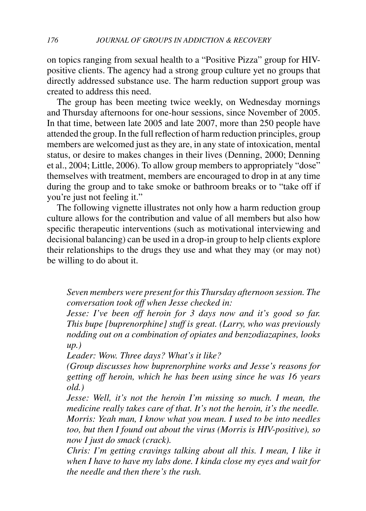on topics ranging from sexual health to a "Positive Pizza" group for HIVpositive clients. The agency had a strong group culture yet no groups that directly addressed substance use. The harm reduction support group was created to address this need.

The group has been meeting twice weekly, on Wednesday mornings and Thursday afternoons for one-hour sessions, since November of 2005. In that time, between late 2005 and late 2007, more than 250 people have attended the group. In the full reflection of harm reduction principles, group members are welcomed just as they are, in any state of intoxication, mental status, or desire to makes changes in their lives (Denning, 2000; Denning et al., 2004; Little, 2006). To allow group members to appropriately "dose" themselves with treatment, members are encouraged to drop in at any time during the group and to take smoke or bathroom breaks or to "take off if you're just not feeling it."

The following vignette illustrates not only how a harm reduction group culture allows for the contribution and value of all members but also how specific therapeutic interventions (such as motivational interviewing and decisional balancing) can be used in a drop-in group to help clients explore their relationships to the drugs they use and what they may (or may not) be willing to do about it.

*Seven members were present for this Thursday afternoon session. The conversation took off when Jesse checked in:*

*Jesse: I've been off heroin for 3 days now and it's good so far. This bupe [buprenorphine] stuff is great. (Larry, who was previously nodding out on a combination of opiates and benzodiazapines, looks up.)*

*Leader: Wow. Three days? What's it like?*

*(Group discusses how buprenorphine works and Jesse's reasons for getting off heroin, which he has been using since he was 16 years old.)*

*Jesse: Well, it's not the heroin I'm missing so much. I mean, the medicine really takes care of that. It's not the heroin, it's the needle. Morris: Yeah man, I know what you mean. I used to be into needles too, but then I found out about the virus (Morris is HIV-positive), so now I just do smack (crack).*

*Chris: I'm getting cravings talking about all this. I mean, I like it when I have to have my labs done. I kinda close my eyes and wait for the needle and then there's the rush.*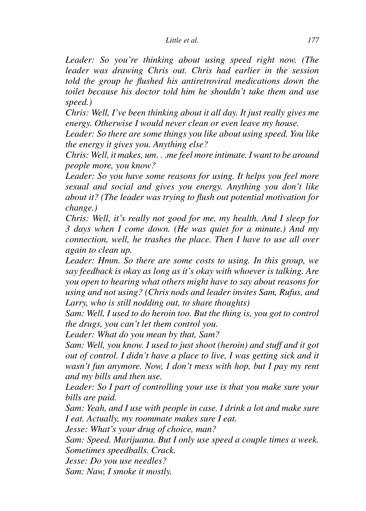#### *Little et al. 177*

*Leader: So you're thinking about using speed right now. (The leader was drawing Chris out. Chris had earlier in the session told the group he flushed his antiretroviral medications down the toilet because his doctor told him he shouldn't take them and use speed.)*

*Chris: Well, I've been thinking about it all day. It just really gives me energy. Otherwise I would never clean or even leave my house.*

*Leader: So there are some things you like about using speed. You like the energy it gives you. Anything else?*

*Chris: Well, it makes, um...me feel more intimate. I want to be around people more, you know?*

*Leader: So you have some reasons for using. It helps you feel more sexual and social and gives you energy. Anything you don't like about it? (The leader was trying to flush out potential motivation for change.)*

*Chris: Well, it's really not good for me, my health. And I sleep for 3 days when I come down. (He was quiet for a minute.) And my connection, well, he trashes the place. Then I have to use all over again to clean up.*

*Leader: Hmm. So there are some costs to using. In this group, we say feedback is okay as long as it's okay with whoever is talking. Are you open to hearing what others might have to say about reasons for using and not using? (Chris nods and leader invites Sam, Rufus, and Larry, who is still nodding out, to share thoughts)*

*Sam: Well, I used to do heroin too. But the thing is, you got to control the drugs, you can't let them control you.*

*Leader: What do you mean by that, Sam?*

*Sam: Well, you know. I used to just shoot (heroin) and stuff and it got out of control. I didn't have a place to live, I was getting sick and it wasn't fun anymore. Now, I don't mess with hop, but I pay my rent and my bills and then use.*

*Leader: So I part of controlling your use is that you make sure your bills are paid.*

*Sam: Yeah, and I use with people in case. I drink a lot and make sure I eat. Actually, my roommate makes sure I eat.*

*Jesse: What's your drug of choice, man?*

*Sam: Speed. Marijuana. But I only use speed a couple times a week. Sometimes speedballs. Crack.*

*Jesse: Do you use needles?*

*Sam: Naw, I smoke it mostly.*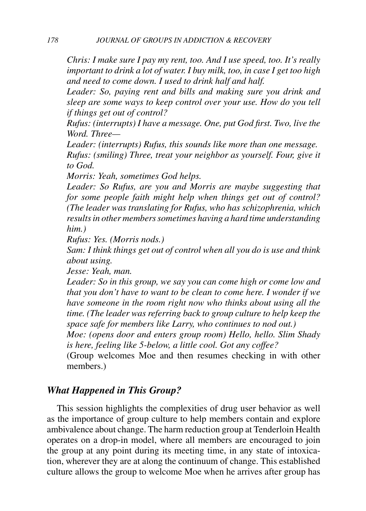*Chris: I make sure I pay my rent, too. And I use speed, too. It's really important to drink a lot of water. I buy milk, too, in case I get too high and need to come down. I used to drink half and half.*

*Leader: So, paying rent and bills and making sure you drink and sleep are some ways to keep control over your use. How do you tell if things get out of control?*

*Rufus: (interrupts) I have a message. One, put God first. Two, live the Word. Three—*

*Leader: (interrupts) Rufus, this sounds like more than one message. Rufus: (smiling) Three, treat your neighbor as yourself. Four, give it to God.*

*Morris: Yeah, sometimes God helps.*

*Leader: So Rufus, are you and Morris are maybe suggesting that for some people faith might help when things get out of control? (The leader was translating for Rufus, who has schizophrenia, which results in other members sometimes having a hard time understanding him.)*

*Rufus: Yes. (Morris nods.)*

*Sam: I think things get out of control when all you do is use and think about using.*

*Jesse: Yeah, man.*

*Leader: So in this group, we say you can come high or come low and that you don't have to want to be clean to come here. I wonder if we have someone in the room right now who thinks about using all the time. (The leader was referring back to group culture to help keep the space safe for members like Larry, who continues to nod out.)*

*Moe: (opens door and enters group room) Hello, hello. Slim Shady is here, feeling like 5-below, a little cool. Got any coffee?*

(Group welcomes Moe and then resumes checking in with other members.)

# *What Happened in This Group?*

This session highlights the complexities of drug user behavior as well as the importance of group culture to help members contain and explore ambivalence about change. The harm reduction group at Tenderloin Health operates on a drop-in model, where all members are encouraged to join the group at any point during its meeting time, in any state of intoxication, wherever they are at along the continuum of change. This established culture allows the group to welcome Moe when he arrives after group has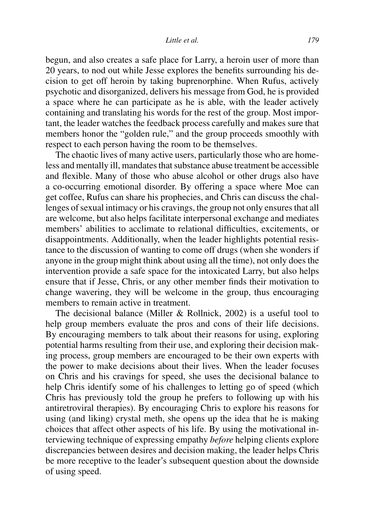begun, and also creates a safe place for Larry, a heroin user of more than 20 years, to nod out while Jesse explores the benefits surrounding his decision to get off heroin by taking buprenorphine. When Rufus, actively psychotic and disorganized, delivers his message from God, he is provided a space where he can participate as he is able, with the leader actively containing and translating his words for the rest of the group. Most important, the leader watches the feedback process carefully and makes sure that members honor the "golden rule," and the group proceeds smoothly with respect to each person having the room to be themselves.

The chaotic lives of many active users, particularly those who are homeless and mentally ill, mandates that substance abuse treatment be accessible and flexible. Many of those who abuse alcohol or other drugs also have a co-occurring emotional disorder. By offering a space where Moe can get coffee, Rufus can share his prophecies, and Chris can discuss the challenges of sexual intimacy or his cravings, the group not only ensures that all are welcome, but also helps facilitate interpersonal exchange and mediates members' abilities to acclimate to relational difficulties, excitements, or disappointments. Additionally, when the leader highlights potential resistance to the discussion of wanting to come off drugs (when she wonders if anyone in the group might think about using all the time), not only does the intervention provide a safe space for the intoxicated Larry, but also helps ensure that if Jesse, Chris, or any other member finds their motivation to change wavering, they will be welcome in the group, thus encouraging members to remain active in treatment.

The decisional balance (Miller & Rollnick, 2002) is a useful tool to help group members evaluate the pros and cons of their life decisions. By encouraging members to talk about their reasons for using, exploring potential harms resulting from their use, and exploring their decision making process, group members are encouraged to be their own experts with the power to make decisions about their lives. When the leader focuses on Chris and his cravings for speed, she uses the decisional balance to help Chris identify some of his challenges to letting go of speed (which Chris has previously told the group he prefers to following up with his antiretroviral therapies). By encouraging Chris to explore his reasons for using (and liking) crystal meth, she opens up the idea that he is making choices that affect other aspects of his life. By using the motivational interviewing technique of expressing empathy *before* helping clients explore discrepancies between desires and decision making, the leader helps Chris be more receptive to the leader's subsequent question about the downside of using speed.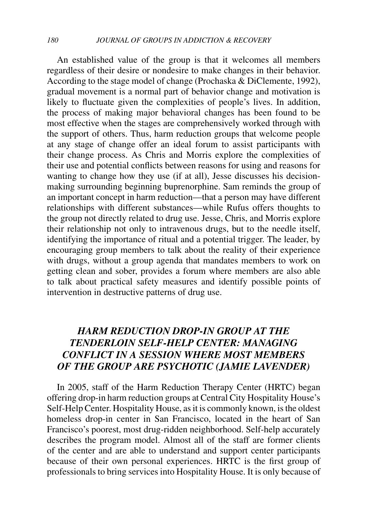An established value of the group is that it welcomes all members regardless of their desire or nondesire to make changes in their behavior. According to the stage model of change (Prochaska & DiClemente, 1992), gradual movement is a normal part of behavior change and motivation is likely to fluctuate given the complexities of people's lives. In addition, the process of making major behavioral changes has been found to be most effective when the stages are comprehensively worked through with the support of others. Thus, harm reduction groups that welcome people at any stage of change offer an ideal forum to assist participants with their change process. As Chris and Morris explore the complexities of their use and potential conflicts between reasons for using and reasons for wanting to change how they use (if at all), Jesse discusses his decisionmaking surrounding beginning buprenorphine. Sam reminds the group of an important concept in harm reduction—that a person may have different relationships with different substances—while Rufus offers thoughts to the group not directly related to drug use. Jesse, Chris, and Morris explore their relationship not only to intravenous drugs, but to the needle itself, identifying the importance of ritual and a potential trigger. The leader, by encouraging group members to talk about the reality of their experience with drugs, without a group agenda that mandates members to work on getting clean and sober, provides a forum where members are also able to talk about practical safety measures and identify possible points of intervention in destructive patterns of drug use.

# *HARM REDUCTION DROP-IN GROUP AT THE TENDERLOIN SELF-HELP CENTER: MANAGING CONFLICT IN A SESSION WHERE MOST MEMBERS OF THE GROUP ARE PSYCHOTIC (JAMIE LAVENDER)*

In 2005, staff of the Harm Reduction Therapy Center (HRTC) began offering drop-in harm reduction groups at Central City Hospitality House's Self-Help Center. Hospitality House, as it is commonly known, is the oldest homeless drop-in center in San Francisco, located in the heart of San Francisco's poorest, most drug-ridden neighborhood. Self-help accurately describes the program model. Almost all of the staff are former clients of the center and are able to understand and support center participants because of their own personal experiences. HRTC is the first group of professionals to bring services into Hospitality House. It is only because of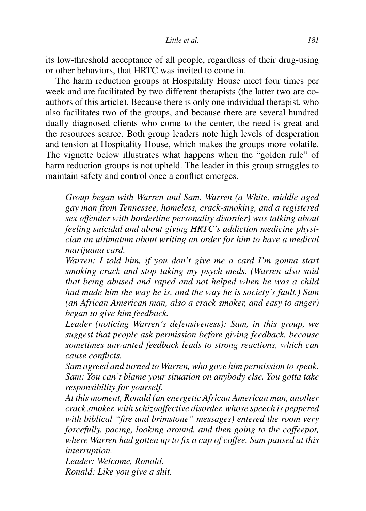its low-threshold acceptance of all people, regardless of their drug-using or other behaviors, that HRTC was invited to come in.

The harm reduction groups at Hospitality House meet four times per week and are facilitated by two different therapists (the latter two are coauthors of this article). Because there is only one individual therapist, who also facilitates two of the groups, and because there are several hundred dually diagnosed clients who come to the center, the need is great and the resources scarce. Both group leaders note high levels of desperation and tension at Hospitality House, which makes the groups more volatile. The vignette below illustrates what happens when the "golden rule" of harm reduction groups is not upheld. The leader in this group struggles to maintain safety and control once a conflict emerges.

*Group began with Warren and Sam. Warren (a White, middle-aged gay man from Tennessee, homeless, crack-smoking, and a registered sex offender with borderline personality disorder) was talking about feeling suicidal and about giving HRTC's addiction medicine physician an ultimatum about writing an order for him to have a medical marijuana card.*

*Warren: I told him, if you don't give me a card I'm gonna start smoking crack and stop taking my psych meds. (Warren also said that being abused and raped and not helped when he was a child had made him the way he is, and the way he is society's fault.) Sam (an African American man, also a crack smoker, and easy to anger) began to give him feedback.*

*Leader (noticing Warren's defensiveness): Sam, in this group, we suggest that people ask permission before giving feedback, because sometimes unwanted feedback leads to strong reactions, which can cause conflicts.*

*Sam agreed and turned to Warren, who gave him permission to speak. Sam: You can't blame your situation on anybody else. You gotta take responsibility for yourself.*

*At this moment, Ronald (an energetic African American man, another crack smoker, with schizoaffective disorder, whose speech is peppered with biblical "fire and brimstone" messages) entered the room very forcefully, pacing, looking around, and then going to the coffeepot, where Warren had gotten up to fix a cup of coffee. Sam paused at this interruption.*

*Leader: Welcome, Ronald. Ronald: Like you give a shit.*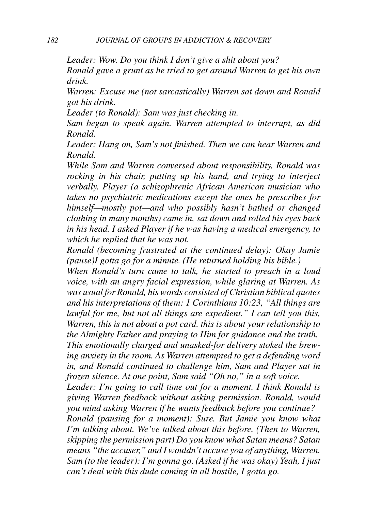*Leader: Wow. Do you think I don't give a shit about you?*

*Ronald gave a grunt as he tried to get around Warren to get his own drink.*

*Warren: Excuse me (not sarcastically) Warren sat down and Ronald got his drink.*

*Leader (to Ronald): Sam was just checking in.*

*Sam began to speak again. Warren attempted to interrupt, as did Ronald.*

*Leader: Hang on, Sam's not finished. Then we can hear Warren and Ronald.*

*While Sam and Warren conversed about responsibility, Ronald was rocking in his chair, putting up his hand, and trying to interject verbally. Player (a schizophrenic African American musician who takes no psychiatric medications except the ones he prescribes for himself—mostly pot—and who possibly hasn't bathed or changed clothing in many months) came in, sat down and rolled his eyes back in his head. I asked Player if he was having a medical emergency, to which he replied that he was not.*

*Ronald (becoming frustrated at the continued delay): Okay Jamie (pause)I gotta go for a minute. (He returned holding his bible.)*

*When Ronald's turn came to talk, he started to preach in a loud voice, with an angry facial expression, while glaring at Warren. As was usual for Ronald, his words consisted of Christian biblical quotes and his interpretations of them: 1 Corinthians 10:23, "All things are lawful for me, but not all things are expedient." I can tell you this, Warren, this is not about a pot card. this is about your relationship to the Almighty Father and praying to Him for guidance and the truth. This emotionally charged and unasked-for delivery stoked the brewing anxiety in the room. As Warren attempted to get a defending word*

*in, and Ronald continued to challenge him, Sam and Player sat in frozen silence. At one point, Sam said "Oh no," in a soft voice.*

*Leader: I'm going to call time out for a moment. I think Ronald is giving Warren feedback without asking permission. Ronald, would you mind asking Warren if he wants feedback before you continue?*

*Ronald (pausing for a moment): Sure. But Jamie you know what I'm talking about. We've talked about this before. (Then to Warren, skipping the permission part) Do you know what Satan means? Satan means "the accuser," and I wouldn't accuse you of anything, Warren. Sam (to the leader): I'm gonna go. (Asked if he was okay) Yeah, I just can't deal with this dude coming in all hostile, I gotta go.*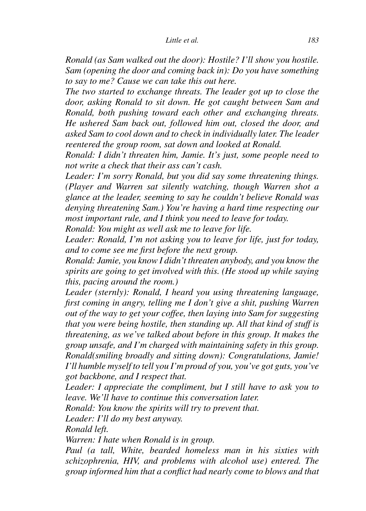*Ronald (as Sam walked out the door): Hostile? I'll show you hostile. Sam (opening the door and coming back in): Do you have something to say to me? Cause we can take this out here.*

*The two started to exchange threats. The leader got up to close the door, asking Ronald to sit down. He got caught between Sam and Ronald, both pushing toward each other and exchanging threats. He ushered Sam back out, followed him out, closed the door, and asked Sam to cool down and to check in individually later. The leader reentered the group room, sat down and looked at Ronald.*

*Ronald: I didn't threaten him, Jamie. It's just, some people need to not write a check that their ass can't cash.*

*Leader: I'm sorry Ronald, but you did say some threatening things. (Player and Warren sat silently watching, though Warren shot a glance at the leader, seeming to say he couldn't believe Ronald was denying threatening Sam.) You're having a hard time respecting our most important rule, and I think you need to leave for today.*

*Ronald: You might as well ask me to leave for life.*

*Leader: Ronald, I'm not asking you to leave for life, just for today, and to come see me first before the next group.*

*Ronald: Jamie, you know I didn't threaten anybody, and you know the spirits are going to get involved with this. (He stood up while saying this, pacing around the room.)*

*Leader (sternly): Ronald, I heard you using threatening language, first coming in angry, telling me I don't give a shit, pushing Warren out of the way to get your coffee, then laying into Sam for suggesting that you were being hostile, then standing up. All that kind of stuff is threatening, as we've talked about before in this group. It makes the group unsafe, and I'm charged with maintaining safety in this group. Ronald(smiling broadly and sitting down): Congratulations, Jamie! I'll humble myself to tell you I'm proud of you, you've got guts, you've got backbone, and I respect that.*

*Leader: I appreciate the compliment, but I still have to ask you to leave. We'll have to continue this conversation later.*

*Ronald: You know the spirits will try to prevent that.*

*Leader: I'll do my best anyway.*

*Ronald left.*

*Warren: I hate when Ronald is in group.*

*Paul (a tall, White, bearded homeless man in his sixties with schizophrenia, HIV, and problems with alcohol use) entered. The group informed him that a conflict had nearly come to blows and that*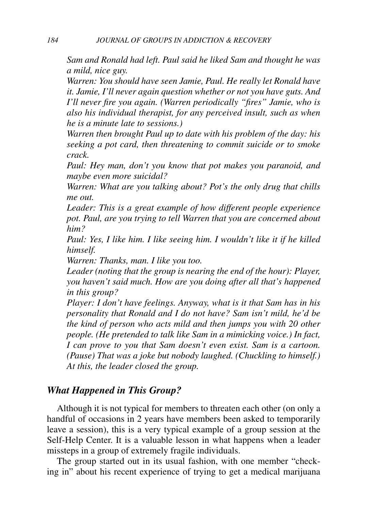*Sam and Ronald had left. Paul said he liked Sam and thought he was a mild, nice guy.*

*Warren: You should have seen Jamie, Paul. He really let Ronald have it. Jamie, I'll never again question whether or not you have guts. And I'll never fire you again. (Warren periodically "fires" Jamie, who is also his individual therapist, for any perceived insult, such as when he is a minute late to sessions.)*

*Warren then brought Paul up to date with his problem of the day: his seeking a pot card, then threatening to commit suicide or to smoke crack.*

*Paul: Hey man, don't you know that pot makes you paranoid, and maybe even more suicidal?*

*Warren: What are you talking about? Pot's the only drug that chills me out.*

*Leader: This is a great example of how different people experience pot. Paul, are you trying to tell Warren that you are concerned about him?*

*Paul: Yes, I like him. I like seeing him. I wouldn't like it if he killed himself.*

*Warren: Thanks, man. I like you too.*

*Leader (noting that the group is nearing the end of the hour): Player, you haven't said much. How are you doing after all that's happened in this group?*

*Player: I don't have feelings. Anyway, what is it that Sam has in his personality that Ronald and I do not have? Sam isn't mild, he'd be the kind of person who acts mild and then jumps you with 20 other people. (He pretended to talk like Sam in a mimicking voice.) In fact, I can prove to you that Sam doesn't even exist. Sam is a cartoon. (Pause) That was a joke but nobody laughed. (Chuckling to himself.) At this, the leader closed the group.*

# *What Happened in This Group?*

Although it is not typical for members to threaten each other (on only a handful of occasions in 2 years have members been asked to temporarily leave a session), this is a very typical example of a group session at the Self-Help Center. It is a valuable lesson in what happens when a leader missteps in a group of extremely fragile individuals.

The group started out in its usual fashion, with one member "checking in" about his recent experience of trying to get a medical marijuana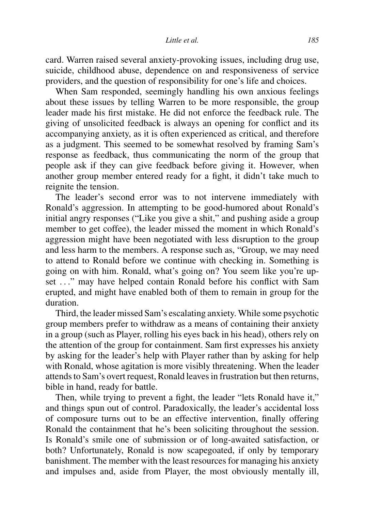card. Warren raised several anxiety-provoking issues, including drug use, suicide, childhood abuse, dependence on and responsiveness of service providers, and the question of responsibility for one's life and choices.

When Sam responded, seemingly handling his own anxious feelings about these issues by telling Warren to be more responsible, the group leader made his first mistake. He did not enforce the feedback rule. The giving of unsolicited feedback is always an opening for conflict and its accompanying anxiety, as it is often experienced as critical, and therefore as a judgment. This seemed to be somewhat resolved by framing Sam's response as feedback, thus communicating the norm of the group that people ask if they can give feedback before giving it. However, when another group member entered ready for a fight, it didn't take much to reignite the tension.

The leader's second error was to not intervene immediately with Ronald's aggression. In attempting to be good-humored about Ronald's initial angry responses ("Like you give a shit," and pushing aside a group member to get coffee), the leader missed the moment in which Ronald's aggression might have been negotiated with less disruption to the group and less harm to the members. A response such as, "Group, we may need to attend to Ronald before we continue with checking in. Something is going on with him. Ronald, what's going on? You seem like you're upset *...*" may have helped contain Ronald before his conflict with Sam erupted, and might have enabled both of them to remain in group for the duration.

Third, the leader missed Sam's escalating anxiety. While some psychotic group members prefer to withdraw as a means of containing their anxiety in a group (such as Player, rolling his eyes back in his head), others rely on the attention of the group for containment. Sam first expresses his anxiety by asking for the leader's help with Player rather than by asking for help with Ronald, whose agitation is more visibly threatening. When the leader attends to Sam's overt request, Ronald leaves in frustration but then returns, bible in hand, ready for battle.

Then, while trying to prevent a fight, the leader "lets Ronald have it," and things spun out of control. Paradoxically, the leader's accidental loss of composure turns out to be an effective intervention, finally offering Ronald the containment that he's been soliciting throughout the session. Is Ronald's smile one of submission or of long-awaited satisfaction, or both? Unfortunately, Ronald is now scapegoated, if only by temporary banishment. The member with the least resources for managing his anxiety and impulses and, aside from Player, the most obviously mentally ill,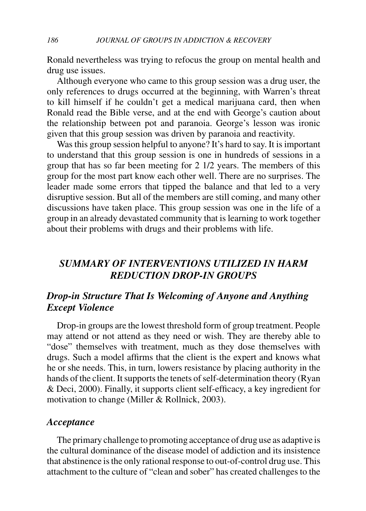Ronald nevertheless was trying to refocus the group on mental health and drug use issues.

Although everyone who came to this group session was a drug user, the only references to drugs occurred at the beginning, with Warren's threat to kill himself if he couldn't get a medical marijuana card, then when Ronald read the Bible verse, and at the end with George's caution about the relationship between pot and paranoia. George's lesson was ironic given that this group session was driven by paranoia and reactivity.

Was this group session helpful to anyone? It's hard to say. It is important to understand that this group session is one in hundreds of sessions in a group that has so far been meeting for 2 1/2 years. The members of this group for the most part know each other well. There are no surprises. The leader made some errors that tipped the balance and that led to a very disruptive session. But all of the members are still coming, and many other discussions have taken place. This group session was one in the life of a group in an already devastated community that is learning to work together about their problems with drugs and their problems with life.

# *SUMMARY OF INTERVENTIONS UTILIZED IN HARM REDUCTION DROP-IN GROUPS*

# *Drop-in Structure That Is Welcoming of Anyone and Anything Except Violence*

Drop-in groups are the lowest threshold form of group treatment. People may attend or not attend as they need or wish. They are thereby able to "dose" themselves with treatment, much as they dose themselves with drugs. Such a model affirms that the client is the expert and knows what he or she needs. This, in turn, lowers resistance by placing authority in the hands of the client. It supports the tenets of self-determination theory (Ryan & Deci, 2000). Finally, it supports client self-efficacy, a key ingredient for motivation to change (Miller & Rollnick, 2003).

### *Acceptance*

The primary challenge to promoting acceptance of drug use as adaptive is the cultural dominance of the disease model of addiction and its insistence that abstinence is the only rational response to out-of-control drug use. This attachment to the culture of "clean and sober" has created challenges to the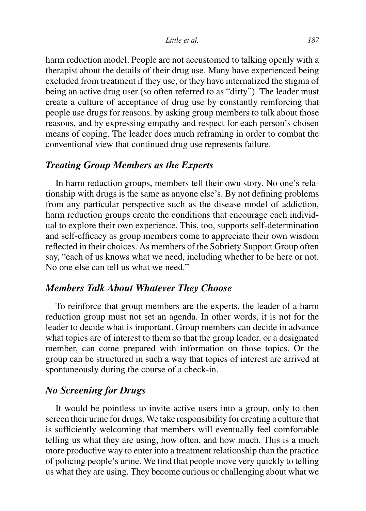harm reduction model. People are not accustomed to talking openly with a therapist about the details of their drug use. Many have experienced being excluded from treatment if they use, or they have internalized the stigma of being an active drug user (so often referred to as "dirty"). The leader must create a culture of acceptance of drug use by constantly reinforcing that people use drugs for reasons. by asking group members to talk about those reasons, and by expressing empathy and respect for each person's chosen means of coping. The leader does much reframing in order to combat the conventional view that continued drug use represents failure.

# *Treating Group Members as the Experts*

In harm reduction groups, members tell their own story. No one's relationship with drugs is the same as anyone else's. By not defining problems from any particular perspective such as the disease model of addiction, harm reduction groups create the conditions that encourage each individual to explore their own experience. This, too, supports self-determination and self-efficacy as group members come to appreciate their own wisdom reflected in their choices. As members of the Sobriety Support Group often say, "each of us knows what we need, including whether to be here or not. No one else can tell us what we need."

### *Members Talk About Whatever They Choose*

To reinforce that group members are the experts, the leader of a harm reduction group must not set an agenda. In other words, it is not for the leader to decide what is important. Group members can decide in advance what topics are of interest to them so that the group leader, or a designated member, can come prepared with information on those topics. Or the group can be structured in such a way that topics of interest are arrived at spontaneously during the course of a check-in.

### *No Screening for Drugs*

It would be pointless to invite active users into a group, only to then screen their urine for drugs. We take responsibility for creating a culture that is sufficiently welcoming that members will eventually feel comfortable telling us what they are using, how often, and how much. This is a much more productive way to enter into a treatment relationship than the practice of policing people's urine. We find that people move very quickly to telling us what they are using. They become curious or challenging about what we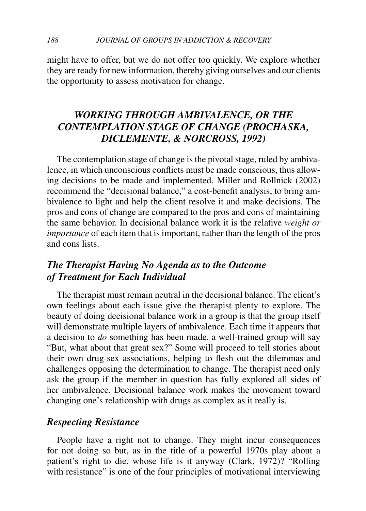might have to offer, but we do not offer too quickly. We explore whether they are ready for new information, thereby giving ourselves and our clients the opportunity to assess motivation for change.

# *WORKING THROUGH AMBIVALENCE, OR THE CONTEMPLATION STAGE OF CHANGE (PROCHASKA, DICLEMENTE, & NORCROSS, 1992)*

The contemplation stage of change is the pivotal stage, ruled by ambivalence, in which unconscious conflicts must be made conscious, thus allowing decisions to be made and implemented. Miller and Rollnick (2002) recommend the "decisional balance," a cost-benefit analysis, to bring ambivalence to light and help the client resolve it and make decisions. The pros and cons of change are compared to the pros and cons of maintaining the same behavior. In decisional balance work it is the relative *weight or importance* of each item that is important, rather than the length of the pros and cons lists.

# *The Therapist Having No Agenda as to the Outcome of Treatment for Each Individual*

The therapist must remain neutral in the decisional balance. The client's own feelings about each issue give the therapist plenty to explore. The beauty of doing decisional balance work in a group is that the group itself will demonstrate multiple layers of ambivalence. Each time it appears that a decision to *do* something has been made, a well-trained group will say "But, what about that great sex?" Some will proceed to tell stories about their own drug-sex associations, helping to flesh out the dilemmas and challenges opposing the determination to change. The therapist need only ask the group if the member in question has fully explored all sides of her ambivalence. Decisional balance work makes the movement toward changing one's relationship with drugs as complex as it really is.

# *Respecting Resistance*

People have a right not to change. They might incur consequences for not doing so but, as in the title of a powerful 1970s play about a patient's right to die, whose life is it anyway (Clark, 1972)? "Rolling with resistance" is one of the four principles of motivational interviewing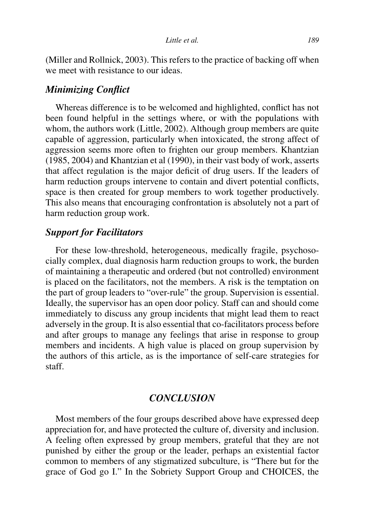(Miller and Rollnick, 2003). This refers to the practice of backing off when we meet with resistance to our ideas.

# *Minimizing Conflict*

Whereas difference is to be welcomed and highlighted, conflict has not been found helpful in the settings where, or with the populations with whom, the authors work (Little, 2002). Although group members are quite capable of aggression, particularly when intoxicated, the strong affect of aggression seems more often to frighten our group members. Khantzian (1985, 2004) and Khantzian et al (1990), in their vast body of work, asserts that affect regulation is the major deficit of drug users. If the leaders of harm reduction groups intervene to contain and divert potential conflicts, space is then created for group members to work together productively. This also means that encouraging confrontation is absolutely not a part of harm reduction group work.

# *Support for Facilitators*

For these low-threshold, heterogeneous, medically fragile, psychosocially complex, dual diagnosis harm reduction groups to work, the burden of maintaining a therapeutic and ordered (but not controlled) environment is placed on the facilitators, not the members. A risk is the temptation on the part of group leaders to "over-rule" the group. Supervision is essential. Ideally, the supervisor has an open door policy. Staff can and should come immediately to discuss any group incidents that might lead them to react adversely in the group. It is also essential that co-facilitators process before and after groups to manage any feelings that arise in response to group members and incidents. A high value is placed on group supervision by the authors of this article, as is the importance of self-care strategies for staff.

### *CONCLUSION*

Most members of the four groups described above have expressed deep appreciation for, and have protected the culture of, diversity and inclusion. A feeling often expressed by group members, grateful that they are not punished by either the group or the leader, perhaps an existential factor common to members of any stigmatized subculture, is "There but for the grace of God go I." In the Sobriety Support Group and CHOICES, the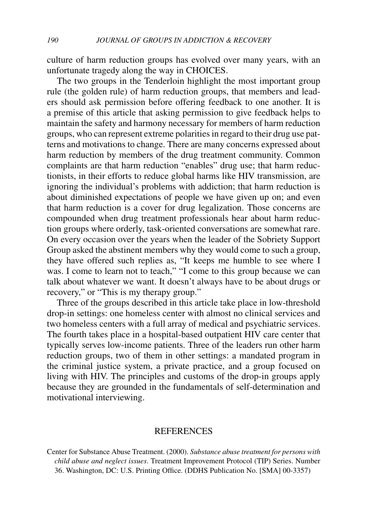culture of harm reduction groups has evolved over many years, with an unfortunate tragedy along the way in CHOICES.

The two groups in the Tenderloin highlight the most important group rule (the golden rule) of harm reduction groups, that members and leaders should ask permission before offering feedback to one another. It is a premise of this article that asking permission to give feedback helps to maintain the safety and harmony necessary for members of harm reduction groups, who can represent extreme polarities in regard to their drug use patterns and motivations to change. There are many concerns expressed about harm reduction by members of the drug treatment community. Common complaints are that harm reduction "enables" drug use; that harm reductionists, in their efforts to reduce global harms like HIV transmission, are ignoring the individual's problems with addiction; that harm reduction is about diminished expectations of people we have given up on; and even that harm reduction is a cover for drug legalization. Those concerns are compounded when drug treatment professionals hear about harm reduction groups where orderly, task-oriented conversations are somewhat rare. On every occasion over the years when the leader of the Sobriety Support Group asked the abstinent members why they would come to such a group, they have offered such replies as, "It keeps me humble to see where I was. I come to learn not to teach," "I come to this group because we can talk about whatever we want. It doesn't always have to be about drugs or recovery," or "This is my therapy group."

Three of the groups described in this article take place in low-threshold drop-in settings: one homeless center with almost no clinical services and two homeless centers with a full array of medical and psychiatric services. The fourth takes place in a hospital-based outpatient HIV care center that typically serves low-income patients. Three of the leaders run other harm reduction groups, two of them in other settings: a mandated program in the criminal justice system, a private practice, and a group focused on living with HIV. The principles and customs of the drop-in groups apply because they are grounded in the fundamentals of self-determination and motivational interviewing.

#### **REFERENCES**

Center for Substance Abuse Treatment. (2000). *Substance abuse treatment for persons with child abuse and neglect issues*. Treatment Improvement Protocol (TIP) Series. Number 36. Washington, DC: U.S. Printing Office. (DDHS Publication No. [SMA] 00-3357)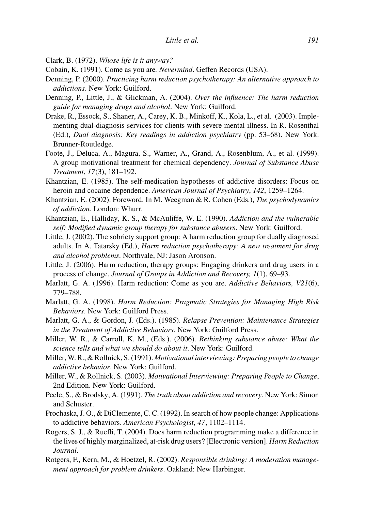Clark, B. (1972). *Whose life is it anyway?*

- Cobain, K. (1991). Come as you are*. Nevermind*. Geffen Records (USA).
- Denning, P. (2000). *Practicing harm reduction psychotherapy: An alternative approach to addictions*. New York: Guilford.
- Denning, P., Little, J., & Glickman, A. (2004). *Over the influence: The harm reduction guide for managing drugs and alcohol*. New York: Guilford.
- Drake, R., Essock, S., Shaner, A., Carey, K. B., Minkoff, K., Kola, L., et al. (2003). Implementing dual-diagnosis services for clients with severe mental illness. In R. Rosenthal (Ed.), *Dual diagnosis: Key readings in addiction psychiatry* (pp. 53–68). New York. Brunner-Routledge.
- Foote, J., Deluca, A., Magura, S., Warner, A., Grand, A., Rosenblum, A., et al. (1999). A group motivational treatment for chemical dependency. *Journal of Substance Abuse Treatment*, *17*(3), 181–192.
- Khantzian, E. (1985). The self-medication hypotheses of addictive disorders: Focus on heroin and cocaine dependence. *American Journal of Psychiatry*, *142*, 1259–1264.
- Khantzian, E. (2002). Foreword. In M. Weegman & R. Cohen (Eds.), *The psychodynamics of addiction*. London: Whurr.
- Khantzian, E., Halliday, K. S., & McAuliffe, W. E. (1990). *Addiction and the vulnerable self: Modified dynamic group therapy for substance abusers*. New York: Guilford.
- Little, J. (2002). The sobriety support group: A harm reduction group for dually diagnosed adults. In A. Tatarsky (Ed.), *Harm reduction psychotherapy: A new treatment for drug and alcohol problems*. Northvale, NJ: Jason Aronson.
- Little, J. (2006). Harm reduction, therapy groups: Engaging drinkers and drug users in a process of change. *Journal of Groups in Addiction and Recovery, 1*(1), 69–93.
- Marlatt, G. A. (1996). Harm reduction: Come as you are. *Addictive Behaviors, V21*(6), 779–788.
- Marlatt, G. A. (1998). *Harm Reduction: Pragmatic Strategies for Managing High Risk Behaviors*. New York: Guilford Press.
- Marlatt, G. A., & Gordon, J. (Eds.). (1985). *Relapse Prevention: Maintenance Strategies in the Treatment of Addictive Behaviors*. New York: Guilford Press.
- Miller, W. R., & Carroll, K. M., (Eds.). (2006). *Rethinking substance abuse: What the science tells and what we should do about it*. New York: Guilford.
- Miller, W. R., & Rollnick, S. (1991). *Motivational interviewing: Preparing people to change addictive behavior*. New York: Guilford.
- Miller, W., & Rollnick, S. (2003). *Motivational Interviewing: Preparing People to Change*, 2nd Edition. New York: Guilford.
- Peele, S., & Brodsky, A. (1991). *The truth about addiction and recovery*. New York: Simon and Schuster.
- Prochaska, J. O., & DiClemente, C. C. (1992). In search of how people change: Applications to addictive behaviors. *American Psychologist*, *47*, 1102–1114.
- Rogers, S. J., & Ruefli, T. (2004). Does harm reduction programming make a difference in the lives of highly marginalized, at-risk drug users? [Electronic version]. *Harm Reduction Journal*.
- Rotgers, F., Kern, M., & Hoetzel, R. (2002). *Responsible drinking: A moderation management approach for problem drinkers*. Oakland: New Harbinger.